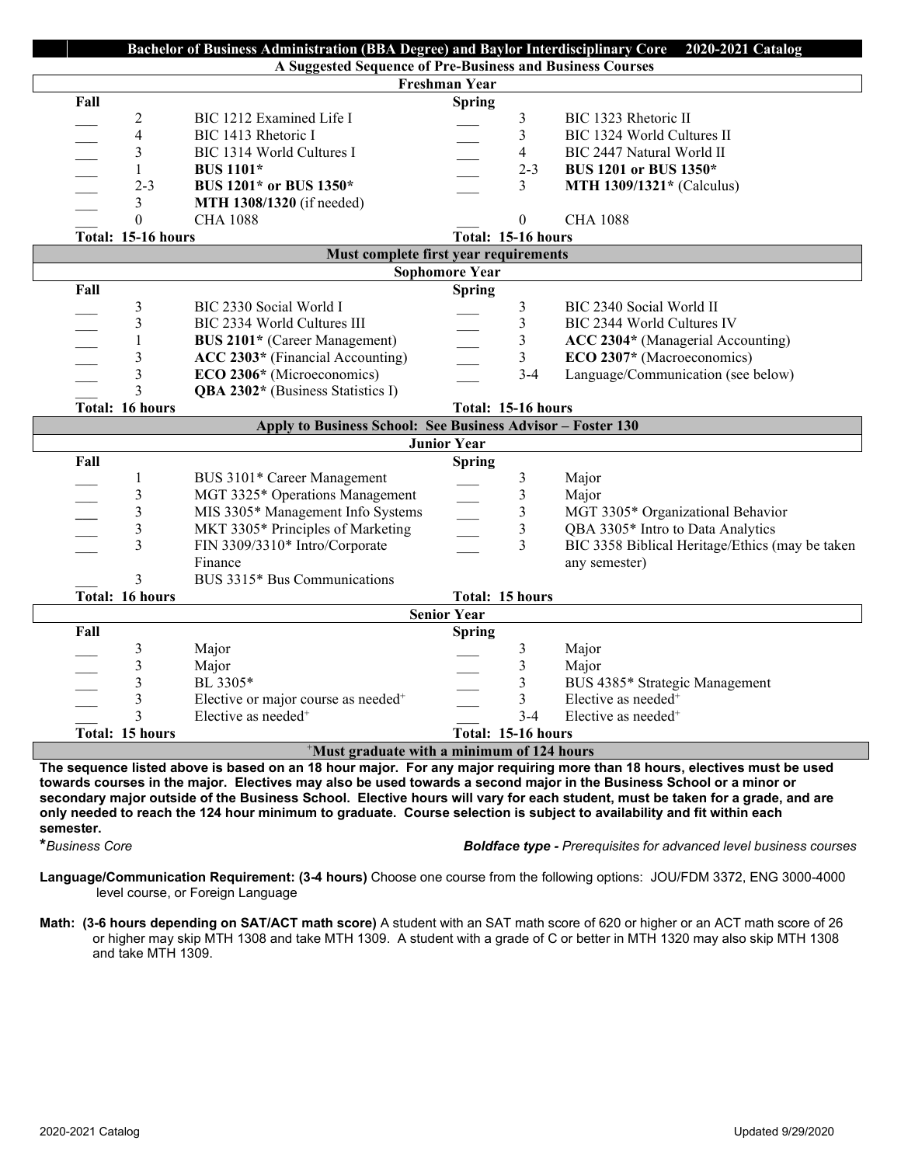| Bachelor of Business Administration (BBA Degree) and Baylor Interdisciplinary Core 2020-2021 Catalog                       |                                                 |                    |                |                                                 |
|----------------------------------------------------------------------------------------------------------------------------|-------------------------------------------------|--------------------|----------------|-------------------------------------------------|
| A Suggested Sequence of Pre-Business and Business Courses                                                                  |                                                 |                    |                |                                                 |
| Freshman Year                                                                                                              |                                                 |                    |                |                                                 |
| Fall                                                                                                                       |                                                 | <b>Spring</b>      |                |                                                 |
| $\overline{\mathbf{c}}$                                                                                                    | BIC 1212 Examined Life I                        |                    | 3              | BIC 1323 Rhetoric II                            |
| $\overline{\mathbf{4}}$                                                                                                    | BIC 1413 Rhetoric I                             |                    | 3              | BIC 1324 World Cultures II                      |
| 3                                                                                                                          | BIC 1314 World Cultures I                       |                    | 4              | BIC 2447 Natural World II                       |
| $\mathbf{1}$                                                                                                               | <b>BUS 1101*</b>                                |                    | $2 - 3$        | BUS 1201 or BUS 1350*                           |
| $2 - 3$                                                                                                                    | BUS 1201* or BUS 1350*                          |                    | 3              | <b>MTH 1309/1321*</b> (Calculus)                |
| 3                                                                                                                          | MTH 1308/1320 (if needed)                       |                    |                |                                                 |
| $\theta$                                                                                                                   | <b>CHA 1088</b>                                 |                    | $\Omega$       | <b>CHA 1088</b>                                 |
| Total: 15-16 hours                                                                                                         |                                                 | Total: 15-16 hours |                |                                                 |
| Must complete first year requirements                                                                                      |                                                 |                    |                |                                                 |
| <b>Sophomore Year</b>                                                                                                      |                                                 |                    |                |                                                 |
| Fall                                                                                                                       |                                                 | <b>Spring</b>      |                |                                                 |
| 3                                                                                                                          | BIC 2330 Social World I                         |                    | 3              | BIC 2340 Social World II                        |
| 3                                                                                                                          | BIC 2334 World Cultures III                     |                    | 3              | BIC 2344 World Cultures IV                      |
| $\mathbf{1}$<br>$\overline{\phantom{a}}$                                                                                   | BUS 2101* (Career Management)                   |                    | 3              | ACC 2304* (Managerial Accounting)               |
| 3                                                                                                                          | ACC 2303* (Financial Accounting)                |                    | 3              | ECO 2307* (Macroeconomics)                      |
| 3<br>$\overline{\phantom{0}}$                                                                                              | ECO 2306* (Microeconomics)                      |                    | $3 - 4$        | Language/Communication (see below)              |
| $\overline{3}$                                                                                                             | QBA 2302* (Business Statistics I)               |                    |                |                                                 |
| Total: 16 hours                                                                                                            |                                                 | Total: 15-16 hours |                |                                                 |
| Apply to Business School: See Business Advisor - Foster 130                                                                |                                                 |                    |                |                                                 |
| <b>Junior Year</b>                                                                                                         |                                                 |                    |                |                                                 |
| Fall                                                                                                                       |                                                 | <b>Spring</b>      |                |                                                 |
| 1                                                                                                                          | BUS 3101* Career Management                     |                    | 3              | Major                                           |
| $\mathfrak{Z}$                                                                                                             | MGT 3325* Operations Management                 |                    | $\mathfrak{Z}$ | Major                                           |
| $\overline{\mathbf{3}}$                                                                                                    | MIS 3305* Management Info Systems               |                    | $\mathfrak{Z}$ | MGT 3305* Organizational Behavior               |
| 3                                                                                                                          | MKT 3305* Principles of Marketing               |                    | $\sqrt{3}$     | QBA 3305* Intro to Data Analytics               |
| 3                                                                                                                          | FIN 3309/3310* Intro/Corporate                  |                    | $\overline{3}$ | BIC 3358 Biblical Heritage/Ethics (may be taken |
|                                                                                                                            | Finance                                         |                    |                | any semester)                                   |
| 3                                                                                                                          | BUS 3315* Bus Communications                    |                    |                |                                                 |
| Total: 16 hours                                                                                                            |                                                 | Total: 15 hours    |                |                                                 |
| <b>Senior Year</b>                                                                                                         |                                                 |                    |                |                                                 |
| Fall                                                                                                                       |                                                 | <b>Spring</b>      |                |                                                 |
| $\mathfrak{Z}$                                                                                                             | Major                                           |                    | 3              | Major                                           |
| 3                                                                                                                          | Major                                           |                    | 3              | Major                                           |
| $\overline{\mathbf{3}}$                                                                                                    | BL 3305*                                        |                    | 3              | BUS 4385* Strategic Management                  |
| $\overline{\mathbf{3}}$                                                                                                    | Elective or major course as needed <sup>+</sup> |                    | 3              | Elective as needed <sup>+</sup>                 |
| 3                                                                                                                          | Elective as needed <sup>+</sup>                 |                    | $3-4$          | Elective as needed <sup>+</sup>                 |
| Total: 15 hours                                                                                                            | Total: 15-16 hours                              |                    |                |                                                 |
| <sup>+</sup> Must graduate with a minimum of 124 hours                                                                     |                                                 |                    |                |                                                 |
| The sequence listed above is based on an 18 hour major. For any major requiring more than 18 hours, electives must be used |                                                 |                    |                |                                                 |

**The sequence listed above is based on an 18 hour major. For any major requiring more than 18 hours, electives must be used towards courses in the major. Electives may also be used towards a second major in the Business School or a minor or secondary major outside of the Business School. Elective hours will vary for each student, must be taken for a grade, and are only needed to reach the 124 hour minimum to graduate. Course selection is subject to availability and fit within each**  semester.<br>\*Business Core

**\****Business Core Boldface type - Prerequisites for advanced level business courses*

**Language/Communication Requirement: (3-4 hours)** Choose one course from the following options: JOU/FDM 3372, ENG 3000-4000 level course, or Foreign Language

**Math: (3-6 hours depending on SAT/ACT math score)** A student with an SAT math score of 620 or higher or an ACT math score of 26 or higher may skip MTH 1308 and take MTH 1309. A student with a grade of C or better in MTH 1320 may also skip MTH 1308 and take MTH 1309.